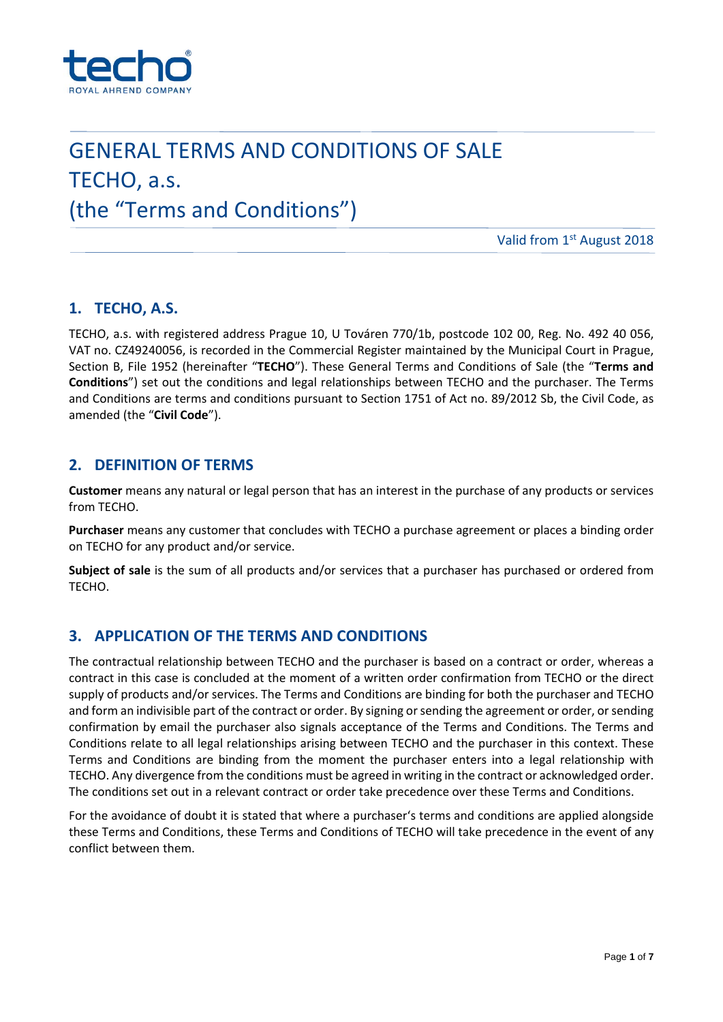

# GENERAL TERMS AND CONDITIONS OF SALE TECHO, a.s. (the "Terms and Conditions")

Valid from 1st August 2018

## **1. TECHO, A.S.**

TECHO, a.s. with registered address Prague 10, U Továren 770/1b, postcode 102 00, Reg. No. 492 40 056, VAT no. CZ49240056, is recorded in the Commercial Register maintained by the Municipal Court in Prague, Section B, File 1952 (hereinafter "**TECHO**"). These General Terms and Conditions of Sale (the "**Terms and Conditions**") set out the conditions and legal relationships between TECHO and the purchaser. The Terms and Conditions are terms and conditions pursuant to Section 1751 of Act no. 89/2012 Sb, the Civil Code, as amended (the "**Civil Code**").

## **2. DEFINITION OF TERMS**

**Customer** means any natural or legal person that has an interest in the purchase of any products or services from TECHO.

**Purchaser** means any customer that concludes with TECHO a purchase agreement or places a binding order on TECHO for any product and/or service.

**Subject of sale** is the sum of all products and/or services that a purchaser has purchased or ordered from TECHO.

## **3. APPLICATION OF THE TERMS AND CONDITIONS**

The contractual relationship between TECHO and the purchaser is based on a contract or order, whereas a contract in this case is concluded at the moment of a written order confirmation from TECHO or the direct supply of products and/or services. The Terms and Conditions are binding for both the purchaser and TECHO and form an indivisible part of the contract or order. By signing orsending the agreement or order, orsending confirmation by email the purchaser also signals acceptance of the Terms and Conditions. The Terms and Conditions relate to all legal relationships arising between TECHO and the purchaser in this context. These Terms and Conditions are binding from the moment the purchaser enters into a legal relationship with TECHO. Any divergence from the conditions must be agreed in writing in the contract or acknowledged order. The conditions set out in a relevant contract or order take precedence over these Terms and Conditions.

For the avoidance of doubt it is stated that where a purchaser's terms and conditions are applied alongside these Terms and Conditions, these Terms and Conditions of TECHO will take precedence in the event of any conflict between them.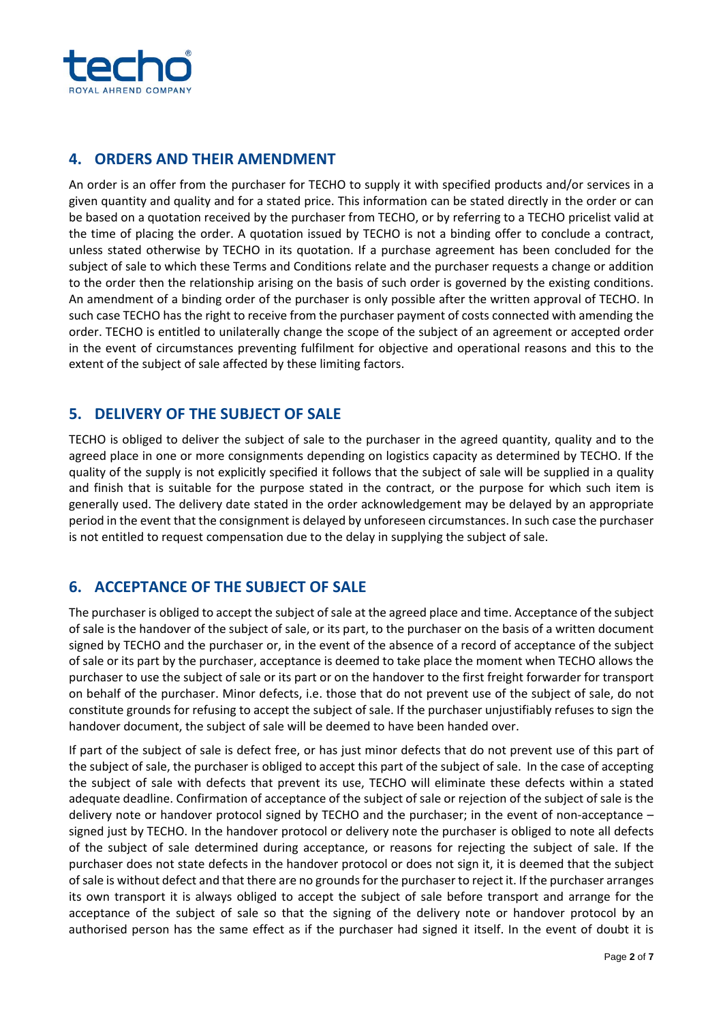

# **4. ORDERS AND THEIR AMENDMENT**

An order is an offer from the purchaser for TECHO to supply it with specified products and/or services in a given quantity and quality and for a stated price. This information can be stated directly in the order or can be based on a quotation received by the purchaser from TECHO, or by referring to a TECHO pricelist valid at the time of placing the order. A quotation issued by TECHO is not a binding offer to conclude a contract, unless stated otherwise by TECHO in its quotation. If a purchase agreement has been concluded for the subject of sale to which these Terms and Conditions relate and the purchaser requests a change or addition to the order then the relationship arising on the basis of such order is governed by the existing conditions. An amendment of a binding order of the purchaser is only possible after the written approval of TECHO. In such case TECHO has the right to receive from the purchaser payment of costs connected with amending the order. TECHO is entitled to unilaterally change the scope of the subject of an agreement or accepted order in the event of circumstances preventing fulfilment for objective and operational reasons and this to the extent of the subject of sale affected by these limiting factors.

# **5. DELIVERY OF THE SUBJECT OF SALE**

TECHO is obliged to deliver the subject of sale to the purchaser in the agreed quantity, quality and to the agreed place in one or more consignments depending on logistics capacity as determined by TECHO. If the quality of the supply is not explicitly specified it follows that the subject of sale will be supplied in a quality and finish that is suitable for the purpose stated in the contract, or the purpose for which such item is generally used. The delivery date stated in the order acknowledgement may be delayed by an appropriate period in the event that the consignment is delayed by unforeseen circumstances. In such case the purchaser is not entitled to request compensation due to the delay in supplying the subject of sale.

# **6. ACCEPTANCE OF THE SUBJECT OF SALE**

The purchaser is obliged to accept the subject of sale at the agreed place and time. Acceptance of the subject of sale is the handover of the subject of sale, or its part, to the purchaser on the basis of a written document signed by TECHO and the purchaser or, in the event of the absence of a record of acceptance of the subject of sale or its part by the purchaser, acceptance is deemed to take place the moment when TECHO allows the purchaser to use the subject of sale or its part or on the handover to the first freight forwarder for transport on behalf of the purchaser. Minor defects, i.e. those that do not prevent use of the subject of sale, do not constitute grounds for refusing to accept the subject of sale. If the purchaser unjustifiably refuses to sign the handover document, the subject of sale will be deemed to have been handed over.

If part of the subject of sale is defect free, or has just minor defects that do not prevent use of this part of the subject of sale, the purchaser is obliged to accept this part of the subject of sale. In the case of accepting the subject of sale with defects that prevent its use, TECHO will eliminate these defects within a stated adequate deadline. Confirmation of acceptance of the subject of sale or rejection of the subject of sale is the delivery note or handover protocol signed by TECHO and the purchaser; in the event of non-acceptance – signed just by TECHO. In the handover protocol or delivery note the purchaser is obliged to note all defects of the subject of sale determined during acceptance, or reasons for rejecting the subject of sale. If the purchaser does not state defects in the handover protocol or does not sign it, it is deemed that the subject ofsale is without defect and that there are no groundsfor the purchaser to reject it. If the purchaser arranges its own transport it is always obliged to accept the subject of sale before transport and arrange for the acceptance of the subject of sale so that the signing of the delivery note or handover protocol by an authorised person has the same effect as if the purchaser had signed it itself. In the event of doubt it is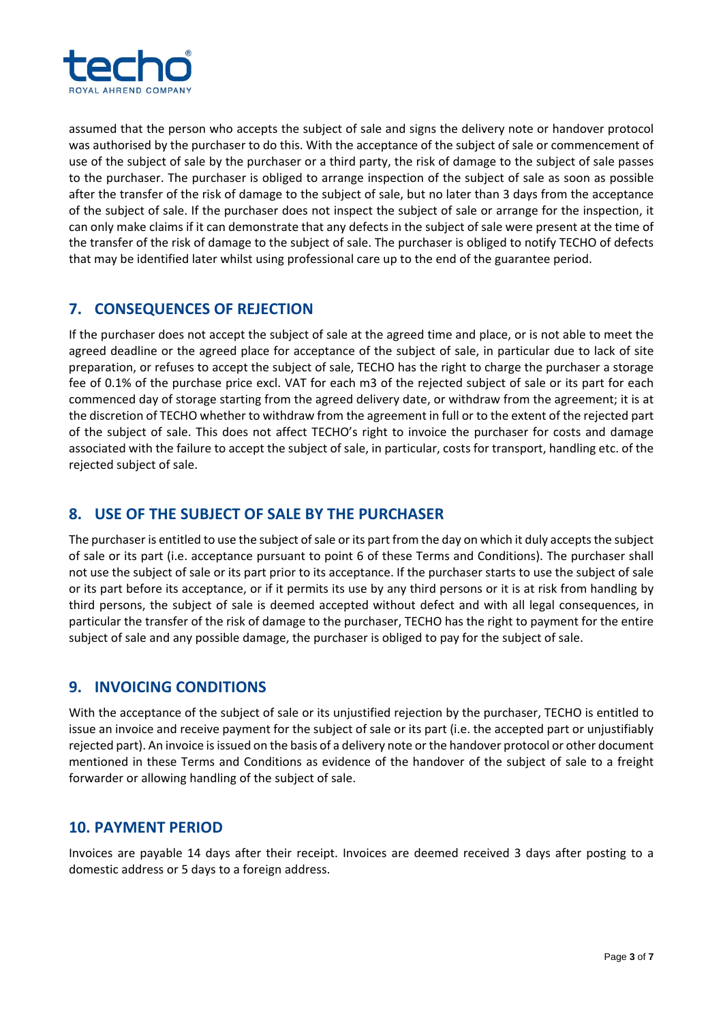

assumed that the person who accepts the subject of sale and signs the delivery note or handover protocol was authorised by the purchaser to do this. With the acceptance of the subject of sale or commencement of use of the subject of sale by the purchaser or a third party, the risk of damage to the subject of sale passes to the purchaser. The purchaser is obliged to arrange inspection of the subject of sale as soon as possible after the transfer of the risk of damage to the subject of sale, but no later than 3 days from the acceptance of the subject of sale. If the purchaser does not inspect the subject of sale or arrange for the inspection, it can only make claims if it can demonstrate that any defects in the subject of sale were present at the time of the transfer of the risk of damage to the subject of sale. The purchaser is obliged to notify TECHO of defects that may be identified later whilst using professional care up to the end of the guarantee period.

# **7. CONSEQUENCES OF REJECTION**

If the purchaser does not accept the subject of sale at the agreed time and place, or is not able to meet the agreed deadline or the agreed place for acceptance of the subject of sale, in particular due to lack of site preparation, or refuses to accept the subject of sale, TECHO has the right to charge the purchaser a storage fee of 0.1% of the purchase price excl. VAT for each m3 of the rejected subject of sale or its part for each commenced day of storage starting from the agreed delivery date, or withdraw from the agreement; it is at the discretion of TECHO whether to withdraw from the agreement in full or to the extent of the rejected part of the subject of sale. This does not affect TECHO's right to invoice the purchaser for costs and damage associated with the failure to accept the subject of sale, in particular, costs for transport, handling etc. of the rejected subject of sale.

# **8. USE OF THE SUBJECT OF SALE BY THE PURCHASER**

The purchaser is entitled to use the subject of sale or its part from the day on which it duly accepts the subject of sale or its part (i.e. acceptance pursuant to point 6 of these Terms and Conditions). The purchaser shall not use the subject of sale or its part prior to its acceptance. If the purchaser starts to use the subject of sale or its part before its acceptance, or if it permits its use by any third persons or it is at risk from handling by third persons, the subject of sale is deemed accepted without defect and with all legal consequences, in particular the transfer of the risk of damage to the purchaser, TECHO has the right to payment for the entire subject of sale and any possible damage, the purchaser is obliged to pay for the subject of sale.

## **9. INVOICING CONDITIONS**

With the acceptance of the subject of sale or its unjustified rejection by the purchaser, TECHO is entitled to issue an invoice and receive payment for the subject of sale or its part (i.e. the accepted part or unjustifiably rejected part). An invoice isissued on the basis of a delivery note or the handover protocol or other document mentioned in these Terms and Conditions as evidence of the handover of the subject of sale to a freight forwarder or allowing handling of the subject of sale.

## **10. PAYMENT PERIOD**

Invoices are payable 14 days after their receipt. Invoices are deemed received 3 days after posting to a domestic address or 5 days to a foreign address.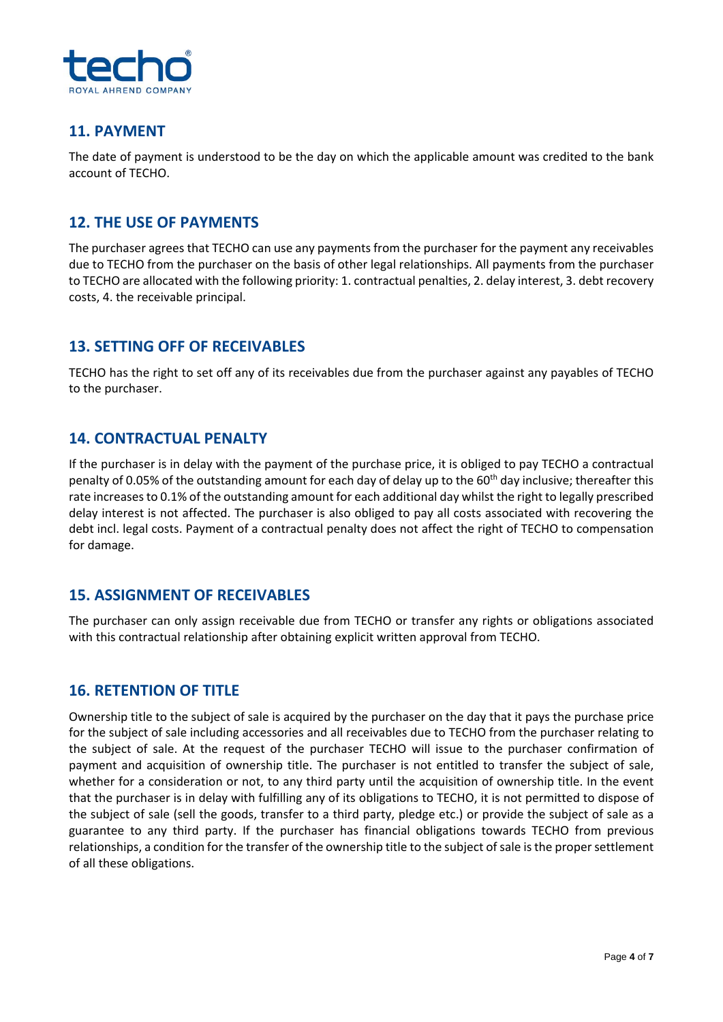

## **11. PAYMENT**

The date of payment is understood to be the day on which the applicable amount was credited to the bank account of TECHO.

## **12. THE USE OF PAYMENTS**

The purchaser agrees that TECHO can use any payments from the purchaser for the payment any receivables due to TECHO from the purchaser on the basis of other legal relationships. All payments from the purchaser to TECHO are allocated with the following priority: 1. contractual penalties, 2. delay interest, 3. debt recovery costs, 4. the receivable principal.

## **13. SETTING OFF OF RECEIVABLES**

TECHO has the right to set off any of its receivables due from the purchaser against any payables of TECHO to the purchaser.

## **14. CONTRACTUAL PENALTY**

If the purchaser is in delay with the payment of the purchase price, it is obliged to pay TECHO a contractual penalty of 0.05% of the outstanding amount for each day of delay up to the  $60<sup>th</sup>$  day inclusive; thereafter this rate increasesto 0.1% of the outstanding amount for each additional day whilst the right to legally prescribed delay interest is not affected. The purchaser is also obliged to pay all costs associated with recovering the debt incl. legal costs. Payment of a contractual penalty does not affect the right of TECHO to compensation for damage.

## **15. ASSIGNMENT OF RECEIVABLES**

The purchaser can only assign receivable due from TECHO or transfer any rights or obligations associated with this contractual relationship after obtaining explicit written approval from TECHO.

#### **16. RETENTION OF TITLE**

Ownership title to the subject of sale is acquired by the purchaser on the day that it pays the purchase price for the subject of sale including accessories and all receivables due to TECHO from the purchaser relating to the subject of sale. At the request of the purchaser TECHO will issue to the purchaser confirmation of payment and acquisition of ownership title. The purchaser is not entitled to transfer the subject of sale, whether for a consideration or not, to any third party until the acquisition of ownership title. In the event that the purchaser is in delay with fulfilling any of its obligations to TECHO, it is not permitted to dispose of the subject of sale (sell the goods, transfer to a third party, pledge etc.) or provide the subject of sale as a guarantee to any third party. If the purchaser has financial obligations towards TECHO from previous relationships, a condition for the transfer of the ownership title to the subject ofsale isthe propersettlement of all these obligations.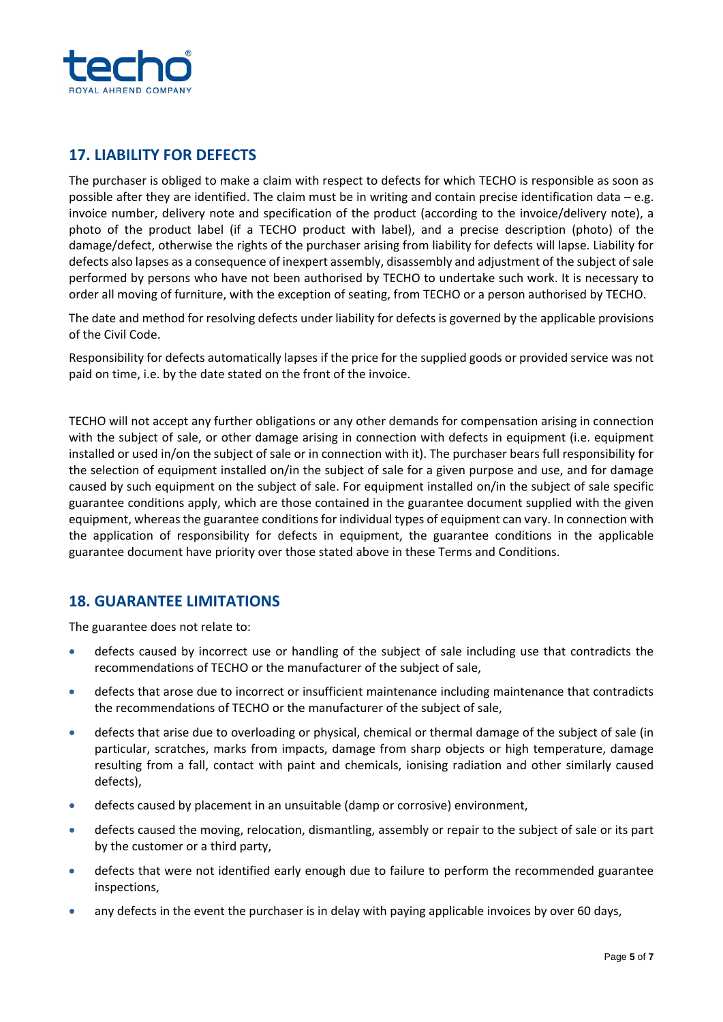

# **17. LIABILITY FOR DEFECTS**

The purchaser is obliged to make a claim with respect to defects for which TECHO is responsible as soon as possible after they are identified. The claim must be in writing and contain precise identification data – e.g. invoice number, delivery note and specification of the product (according to the invoice/delivery note), a photo of the product label (if a TECHO product with label), and a precise description (photo) of the damage/defect, otherwise the rights of the purchaser arising from liability for defects will lapse. Liability for defects also lapses as a consequence of inexpert assembly, disassembly and adjustment of the subject ofsale performed by persons who have not been authorised by TECHO to undertake such work. It is necessary to order all moving of furniture, with the exception of seating, from TECHO or a person authorised by TECHO.

The date and method for resolving defects under liability for defects is governed by the applicable provisions of the Civil Code.

Responsibility for defects automatically lapses if the price for the supplied goods or provided service was not paid on time, i.e. by the date stated on the front of the invoice.

TECHO will not accept any further obligations or any other demands for compensation arising in connection with the subject of sale, or other damage arising in connection with defects in equipment (i.e. equipment installed or used in/on the subject of sale or in connection with it). The purchaser bears full responsibility for the selection of equipment installed on/in the subject of sale for a given purpose and use, and for damage caused by such equipment on the subject of sale. For equipment installed on/in the subject of sale specific guarantee conditions apply, which are those contained in the guarantee document supplied with the given equipment, whereas the guarantee conditions for individual types of equipment can vary. In connection with the application of responsibility for defects in equipment, the guarantee conditions in the applicable guarantee document have priority over those stated above in these Terms and Conditions.

## **18. GUARANTEE LIMITATIONS**

The guarantee does not relate to:

- defects caused by incorrect use or handling of the subject of sale including use that contradicts the recommendations of TECHO or the manufacturer of the subject of sale,
- defects that arose due to incorrect or insufficient maintenance including maintenance that contradicts the recommendations of TECHO or the manufacturer of the subject of sale,
- defects that arise due to overloading or physical, chemical or thermal damage of the subject of sale (in particular, scratches, marks from impacts, damage from sharp objects or high temperature, damage resulting from a fall, contact with paint and chemicals, ionising radiation and other similarly caused defects),
- defects caused by placement in an unsuitable (damp or corrosive) environment,
- defects caused the moving, relocation, dismantling, assembly or repair to the subject of sale or its part by the customer or a third party,
- defects that were not identified early enough due to failure to perform the recommended guarantee inspections,
- any defects in the event the purchaser is in delay with paying applicable invoices by over 60 days,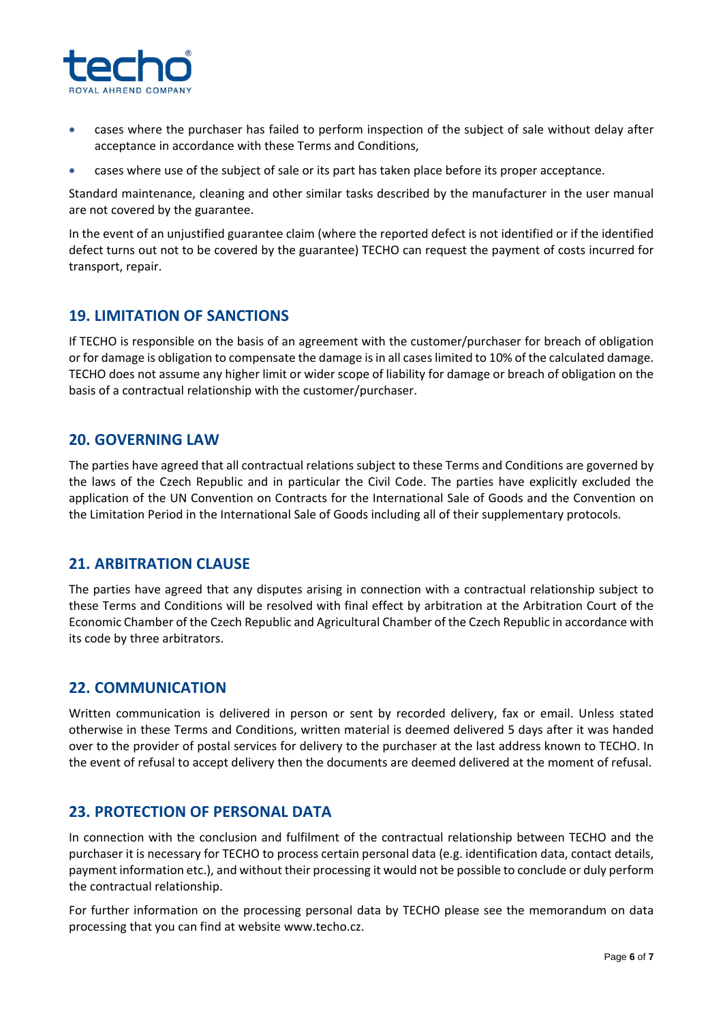

- cases where the purchaser has failed to perform inspection of the subject of sale without delay after acceptance in accordance with these Terms and Conditions,
- cases where use of the subject of sale or its part has taken place before its proper acceptance.

Standard maintenance, cleaning and other similar tasks described by the manufacturer in the user manual are not covered by the guarantee.

In the event of an unjustified guarantee claim (where the reported defect is not identified or if the identified defect turns out not to be covered by the guarantee) TECHO can request the payment of costs incurred for transport, repair.

## **19. LIMITATION OF SANCTIONS**

If TECHO is responsible on the basis of an agreement with the customer/purchaser for breach of obligation or for damage is obligation to compensate the damage isin all caseslimited to 10% of the calculated damage. TECHO does not assume any higher limit or wider scope of liability for damage or breach of obligation on the basis of a contractual relationship with the customer/purchaser.

#### **20. GOVERNING LAW**

The parties have agreed that all contractual relations subject to these Terms and Conditions are governed by the laws of the Czech Republic and in particular the Civil Code. The parties have explicitly excluded the application of the UN Convention on Contracts for the International Sale of Goods and the Convention on the Limitation Period in the International Sale of Goods including all of their supplementary protocols.

#### **21. ARBITRATION CLAUSE**

The parties have agreed that any disputes arising in connection with a contractual relationship subject to these Terms and Conditions will be resolved with final effect by arbitration at the Arbitration Court of the Economic Chamber of the Czech Republic and Agricultural Chamber of the Czech Republic in accordance with its code by three arbitrators.

## **22. COMMUNICATION**

Written communication is delivered in person or sent by recorded delivery, fax or email. Unless stated otherwise in these Terms and Conditions, written material is deemed delivered 5 days after it was handed over to the provider of postal services for delivery to the purchaser at the last address known to TECHO. In the event of refusal to accept delivery then the documents are deemed delivered at the moment of refusal.

#### **23. PROTECTION OF PERSONAL DATA**

In connection with the conclusion and fulfilment of the contractual relationship between TECHO and the purchaser it is necessary for TECHO to process certain personal data (e.g. identification data, contact details, payment information etc.), and without their processing it would not be possible to conclude or duly perform the contractual relationship.

For further information on the processing personal data by TECHO please see the memorandum on data processing that you can find at website www.techo.cz.